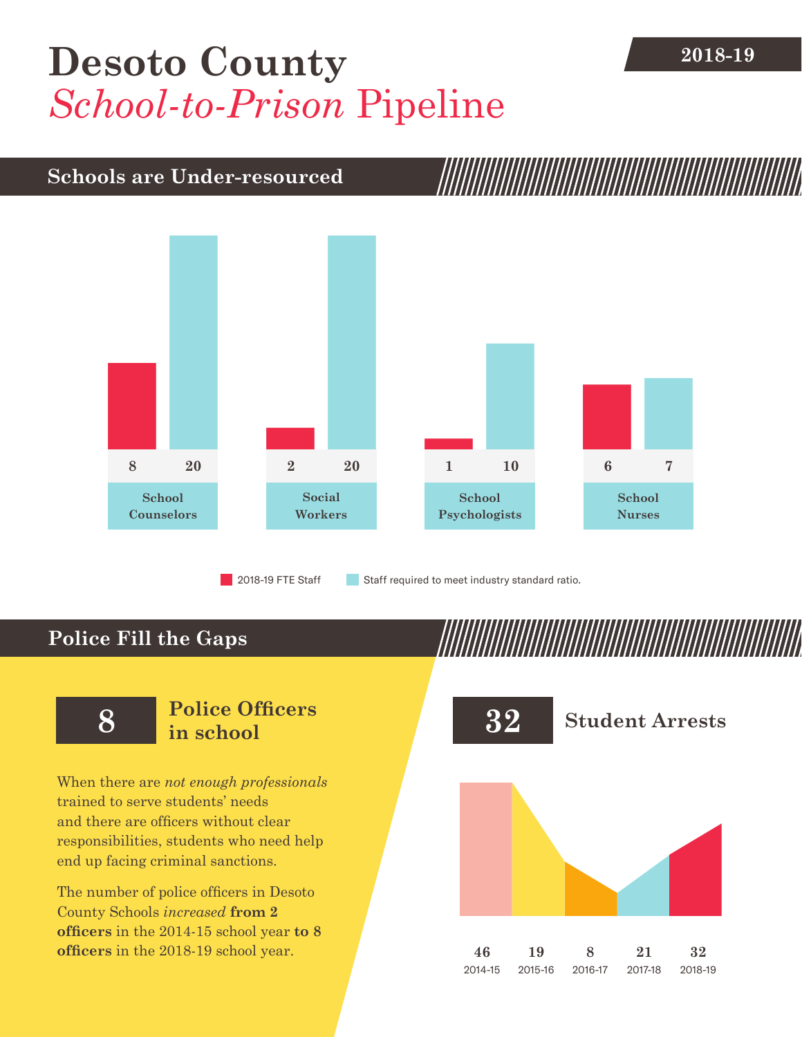## **[Desoto County](DBF_County)** 2018-19 *School-to-Prison* Pipeline

## **Schools are Under-resourced**



2018-19 FTE Staff **Staff required to meet industry standard ratio.** 

## **Police Fill the Gaps**

When there are *not enough professionals* trained to serve students' needs and there are officers without clear responsibilities, students who need help end up facing criminal sanctions.

The number of police officers in [Desoto](DBF_County)  [County](DBF_County) Schools *increased* **from [2](DBF_PO1415) officers** in the 2014-15 school year **to [8](DBF_PO) officers** in the 2018-19 school year.